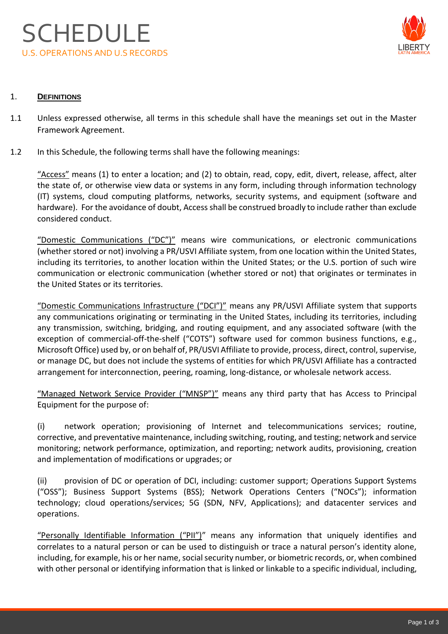

# 1. **DEFINITIONS**

- 1.1 Unless expressed otherwise, all terms in this schedule shall have the meanings set out in the Master Framework Agreement.
- 1.2 In this Schedule, the following terms shall have the following meanings:

"Access" means (1) to enter a location; and (2) to obtain, read, copy, edit, divert, release, affect, alter the state of, or otherwise view data or systems in any form, including through information technology (IT) systems, cloud computing platforms, networks, security systems, and equipment (software and hardware). For the avoidance of doubt, Access shall be construed broadly to include rather than exclude considered conduct.

"Domestic Communications ("DC")" means wire communications, or electronic communications (whether stored or not) involving a PR/USVI Affiliate system, from one location within the United States, including its territories, to another location within the United States; or the U.S. portion of such wire communication or electronic communication (whether stored or not) that originates or terminates in the United States or its territories.

"Domestic Communications Infrastructure ("DCI")" means any PR/USVI Affiliate system that supports any communications originating or terminating in the United States, including its territories, including any transmission, switching, bridging, and routing equipment, and any associated software (with the exception of commercial-off-the-shelf ("COTS") software used for common business functions, e.g., Microsoft Office) used by, or on behalf of, PR/USVI Affiliate to provide, process, direct, control, supervise, or manage DC, but does not include the systems of entities for which PR/USVI Affiliate has a contracted arrangement for interconnection, peering, roaming, long-distance, or wholesale network access.

"Managed Network Service Provider ("MNSP")" means any third party that has Access to Principal Equipment for the purpose of:

(i) network operation; provisioning of Internet and telecommunications services; routine, corrective, and preventative maintenance, including switching, routing, and testing; network and service monitoring; network performance, optimization, and reporting; network audits, provisioning, creation and implementation of modifications or upgrades; or

(ii) provision of DC or operation of DCI, including: customer support; Operations Support Systems ("OSS"); Business Support Systems (BSS); Network Operations Centers ("NOCs"); information technology; cloud operations/services; 5G (SDN, NFV, Applications); and datacenter services and operations.

"Personally Identifiable Information ("PII")" means any information that uniquely identifies and correlates to a natural person or can be used to distinguish or trace a natural person's identity alone, including, for example, his or her name, social security number, or biometric records, or, when combined with other personal or identifying information that is linked or linkable to a specific individual, including,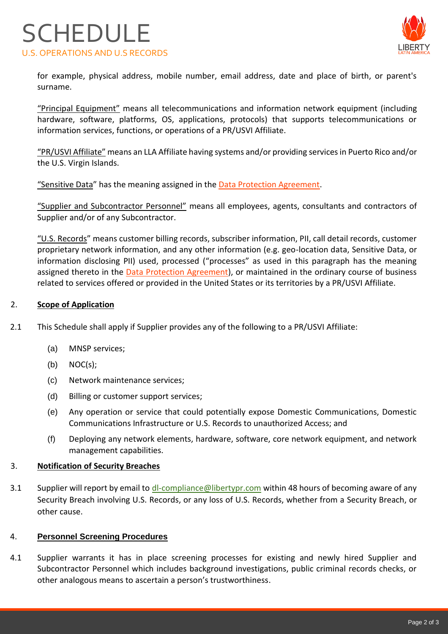# **SCHEDULE** U.S. OPERATIONS AND U.S RECORDS



for example, physical address, mobile number, email address, date and place of birth, or parent's surname.

"Principal Equipment" means all telecommunications and information network equipment (including hardware, software, platforms, OS, applications, protocols) that supports telecommunications or information services, functions, or operations of a PR/USVI Affiliate.

"PR/USVI Affiliate" means an LLA Affiliate having systems and/or providing servicesin Puerto Rico and/or the U.S. Virgin Islands.

"Sensitive Data" has the meaning assigned in the [Data Protection Agreement.](https://www.lla.com/suppliers)

"Supplier and Subcontractor Personnel" means all employees, agents, consultants and contractors of Supplier and/or of any Subcontractor.

"U.S. Records" means customer billing records, subscriber information, PII, call detail records, customer proprietary network information, and any other information (e.g. geo-location data, Sensitive Data, or information disclosing PII) used, processed ("processes" as used in this paragraph has the meaning assigned thereto in the [Data Protection Agreement\)](https://www.lla.com/suppliers), or maintained in the ordinary course of business related to services offered or provided in the United States or its territories by a PR/USVI Affiliate.

### 2. **Scope of Application**

- 2.1 This Schedule shall apply if Supplier provides any of the following to a PR/USVI Affiliate:
	- (a) MNSP services;
	- (b) NOC(s);
	- (c) Network maintenance services;
	- (d) Billing or customer support services;
	- (e) Any operation or service that could potentially expose Domestic Communications, Domestic Communications Infrastructure or U.S. Records to unauthorized Access; and
	- (f) Deploying any network elements, hardware, software, core network equipment, and network management capabilities.

#### 3. **Notification of Security Breaches**

3.1 Supplier will report by email to dl-compliance@libertypr.com within 48 hours of becoming aware of any Security Breach involving U.S. Records, or any loss of U.S. Records, whether from a Security Breach, or other cause.

#### 4. **Personnel Screening Procedures**

4.1 Supplier warrants it has in place screening processes for existing and newly hired Supplier and Subcontractor Personnel which includes background investigations, public criminal records checks, or other analogous means to ascertain a person's trustworthiness.